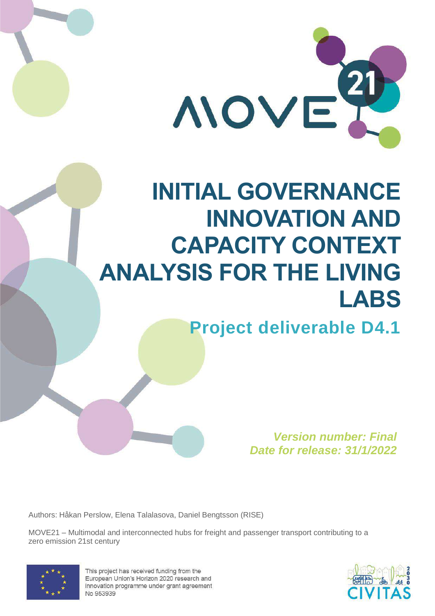

# **INITIAL GOVERNANCE INNOVATION AND CAPACITY CONTEXT ANALYSIS FOR THE LIVING LABS**

**Project deliverable D4.1**

*Version number: Final Date for release: 31/1/2022*

Authors: Håkan Perslow, Elena Talalasova, Daniel Bengtsson (RISE)

MOVE21 – Multimodal and interconnected hubs for freight and passenger transport contributing to a zero emission 21st century



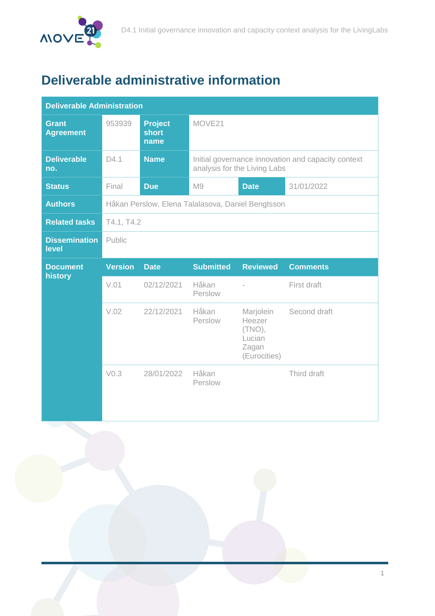

# **Deliverable administrative information**

| <b>Deliverable Administration</b> |                                                   |                                        |                                                                                    |                                                                     |                 |  |
|-----------------------------------|---------------------------------------------------|----------------------------------------|------------------------------------------------------------------------------------|---------------------------------------------------------------------|-----------------|--|
| <b>Grant</b><br><b>Agreement</b>  | 953939                                            | <b>Project</b><br><b>short</b><br>name | MOVE21                                                                             |                                                                     |                 |  |
| <b>Deliverable</b><br>no.         | D4.1                                              | <b>Name</b>                            | Initial governance innovation and capacity context<br>analysis for the Living Labs |                                                                     |                 |  |
| <b>Status</b>                     | Final                                             | <b>Due</b>                             | M9                                                                                 | <b>Date</b>                                                         | 31/01/2022      |  |
| <b>Authors</b>                    | Håkan Perslow, Elena Talalasova, Daniel Bengtsson |                                        |                                                                                    |                                                                     |                 |  |
| <b>Related tasks</b>              | T4.1, T4.2                                        |                                        |                                                                                    |                                                                     |                 |  |
| <b>Dissemination</b><br>level     | Public                                            |                                        |                                                                                    |                                                                     |                 |  |
|                                   |                                                   |                                        |                                                                                    |                                                                     |                 |  |
| <b>Document</b>                   | <b>Version</b>                                    | <b>Date</b>                            | <b>Submitted</b>                                                                   | <b>Reviewed</b>                                                     | <b>Comments</b> |  |
| history                           | V.01                                              | 02/12/2021                             | Håkan<br>Perslow                                                                   | $\bar{a}$                                                           | First draft     |  |
|                                   | V.02                                              | 22/12/2021                             | Håkan<br>Perslow                                                                   | Marjolein<br>Heezer<br>$(TNO)$ ,<br>Lucian<br>Zagan<br>(Eurocities) | Second draft    |  |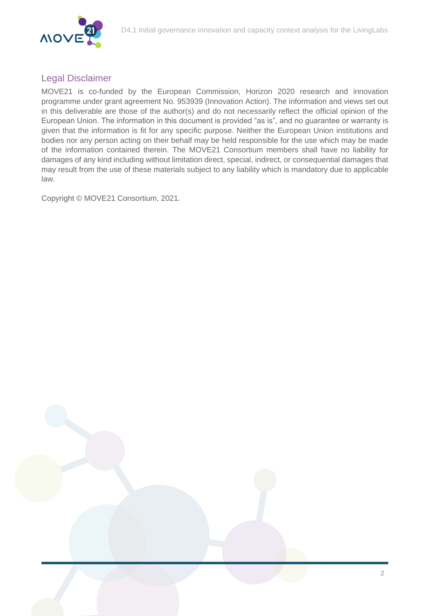

#### Legal Disclaimer

MOVE21 is co-funded by the European Commission, Horizon 2020 research and innovation programme under grant agreement No. 953939 (Innovation Action). The information and views set out in this deliverable are those of the author(s) and do not necessarily reflect the official opinion of the European Union. The information in this document is provided "as is", and no guarantee or warranty is given that the information is fit for any specific purpose. Neither the European Union institutions and bodies nor any person acting on their behalf may be held responsible for the use which may be made of the information contained therein. The MOVE21 Consortium members shall have no liability for damages of any kind including without limitation direct, special, indirect, or consequential damages that may result from the use of these materials subject to any liability which is mandatory due to applicable law.

Copyright © MOVE21 Consortium, 2021.

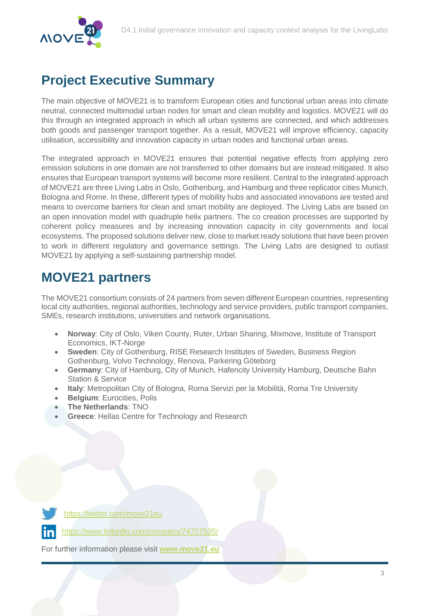

# **Project Executive Summary**

The main objective of MOVE21 is to transform European cities and functional urban areas into climate neutral, connected multimodal urban nodes for smart and clean mobility and logistics. MOVE21 will do this through an integrated approach in which all urban systems are connected, and which addresses both goods and passenger transport together. As a result, MOVE21 will improve efficiency, capacity utilisation, accessibility and innovation capacity in urban nodes and functional urban areas.

The integrated approach in MOVE21 ensures that potential negative effects from applying zero emission solutions in one domain are not transferred to other domains but are instead mitigated. It also ensures that European transport systems will become more resilient. Central to the integrated approach of MOVE21 are three Living Labs in Oslo, Gothenburg, and Hamburg and three replicator cities Munich, Bologna and Rome. In these, different types of mobility hubs and associated innovations are tested and means to overcome barriers for clean and smart mobility are deployed. The Living Labs are based on an open innovation model with quadruple helix partners. The co creation processes are supported by coherent policy measures and by increasing innovation capacity in city governments and local ecosystems. The proposed solutions deliver new, close to market ready solutions that have been proven to work in different regulatory and governance settings. The Living Labs are designed to outlast MOVE21 by applying a self-sustaining partnership model.

## **MOVE21 partners**

The MOVE21 consortium consists of 24 partners from seven different European countries, representing local city authorities, regional authorities, technology and service providers, public transport companies, SMEs, research institutions, universities and network organisations.

- **Norway**: City of Oslo, Viken County, Ruter, Urban Sharing, Mixmove, Institute of Transport Economics, IKT-Norge
- **Sweden**: City of Gothenburg, RISE Research Institutes of Sweden, Business Region Gothenburg, Volvo Technology, Renova, Parkering Göteborg
- **Germany**: City of Hamburg, City of Munich, Hafencity University Hamburg, Deutsche Bahn Station & Service
- **Italy**: Metropolitan City of Bologna, Roma Servizi per la Mobilità, Roma Tre University
- **Belgium**: Eurocities, Polis
- **The Netherlands**: TNO
- **Greece**: Hellas Centre for Technology and Research



<https://twitter.com/move21eu>

<https://www.linkedin.com/company/74707535/>

For further information please visit **[www.move21.eu](http://www.move21.eu/)**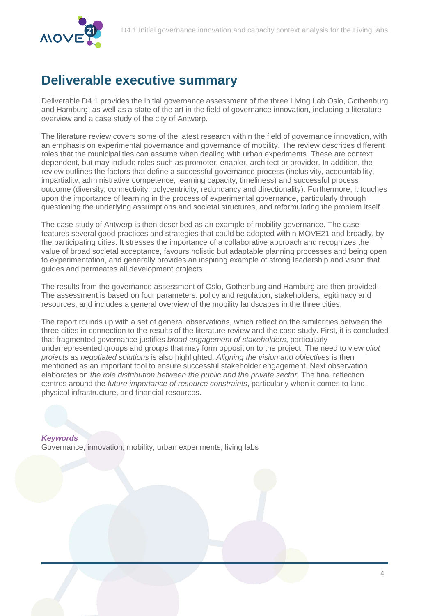

## **Deliverable executive summary**

Deliverable D4.1 provides the initial governance assessment of the three Living Lab Oslo, Gothenburg and Hamburg, as well as a state of the art in the field of governance innovation, including a literature overview and a case study of the city of Antwerp.

The literature review covers some of the latest research within the field of governance innovation, with an emphasis on experimental governance and governance of mobility. The review describes different roles that the municipalities can assume when dealing with urban experiments. These are context dependent, but may include roles such as promoter, enabler, architect or provider. In addition, the review outlines the factors that define a successful governance process (inclusivity, accountability, impartiality, administrative competence, learning capacity, timeliness) and successful process outcome (diversity, connectivity, polycentricity, redundancy and directionality). Furthermore, it touches upon the importance of learning in the process of experimental governance, particularly through questioning the underlying assumptions and societal structures, and reformulating the problem itself.

The case study of Antwerp is then described as an example of mobility governance. The case features several good practices and strategies that could be adopted within MOVE21 and broadly, by the participating cities. It stresses the importance of a collaborative approach and recognizes the value of broad societal acceptance, favours holistic but adaptable planning processes and being open to experimentation, and generally provides an inspiring example of strong leadership and vision that guides and permeates all development projects.

The results from the governance assessment of Oslo, Gothenburg and Hamburg are then provided. The assessment is based on four parameters: policy and regulation, stakeholders, legitimacy and resources, and includes a general overview of the mobility landscapes in the three cities.

The report rounds up with a set of general observations, which reflect on the similarities between the three cities in connection to the results of the literature review and the case study. First, it is concluded that fragmented governance justifies *broad engagement of stakeholders*, particularly underrepresented groups and groups that may form opposition to the project. The need to view *pilot projects as negotiated solutions* is also highlighted. *Aligning the vision and objectives* is then mentioned as an important tool to ensure successful stakeholder engagement. Next observation elaborates on *the role distribution between the public and the private sector*. The final reflection centres around the *future importance of resource constraints*, particularly when it comes to land, physical infrastructure, and financial resources.

*Keywords* Governance, innovation, mobility, urban experiments, living labs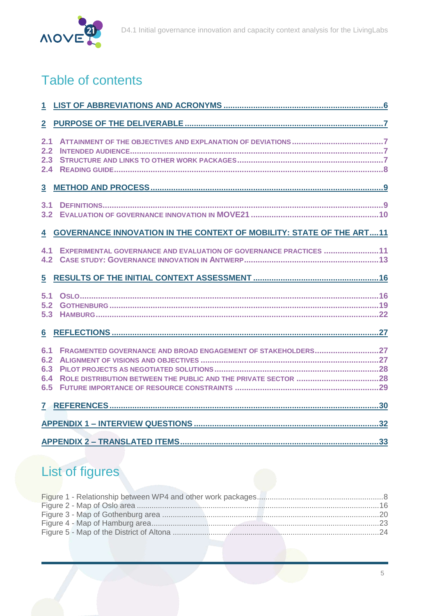

# Table of contents

| $\overline{2}$                  |                                                                        |  |
|---------------------------------|------------------------------------------------------------------------|--|
| 2.1<br>2.2<br>2.3<br>2.4        |                                                                        |  |
| $\overline{\mathbf{3}}$         |                                                                        |  |
| 3.1<br>3.2                      |                                                                        |  |
|                                 | 4 GOVERNANCE INNOVATION IN THE CONTEXT OF MOBILITY: STATE OF THE ART11 |  |
| 4.1<br>4.2 <sub>2</sub>         | EXPERIMENTAL GOVERNANCE AND EVALUATION OF GOVERNANCE PRACTICES 11      |  |
| 5                               |                                                                        |  |
| 5.1<br>5.2<br>5.3               |                                                                        |  |
| $6\phantom{1}$                  |                                                                        |  |
| 6.1<br>6.2<br>6.3<br>6.4<br>6.5 | FRAGMENTED GOVERNANCE AND BROAD ENGAGEMENT OF STAKEHOLDERS27           |  |
|                                 |                                                                        |  |
|                                 |                                                                        |  |
|                                 |                                                                        |  |

# List of figures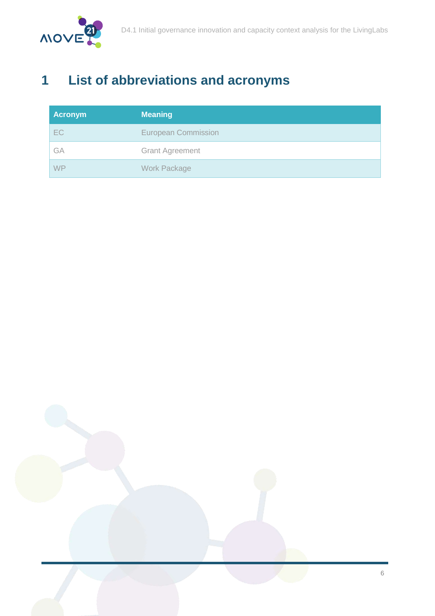

# <span id="page-6-0"></span>**1 List of abbreviations and acronyms**

| Acronym | <b>Meaning</b>             |
|---------|----------------------------|
| EC      | <b>European Commission</b> |
| GA      | <b>Grant Agreement</b>     |
| WP      | <b>Work Package</b>        |

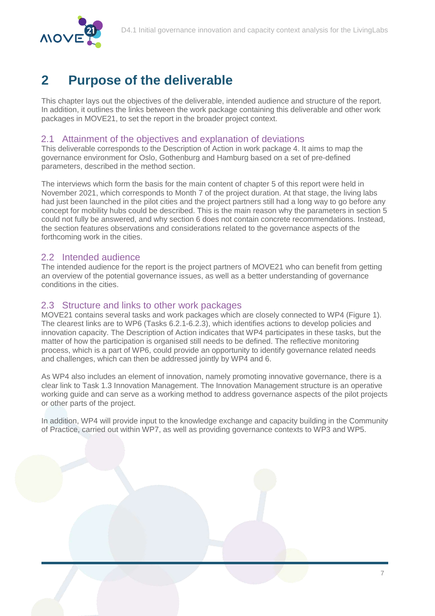

# <span id="page-7-0"></span>**2 Purpose of the deliverable**

This chapter lays out the objectives of the deliverable, intended audience and structure of the report. In addition, it outlines the links between the work package containing this deliverable and other work packages in MOVE21, to set the report in the broader project context.

#### <span id="page-7-1"></span>2.1 Attainment of the objectives and explanation of deviations

This deliverable corresponds to the Description of Action in work package 4. It aims to map the governance environment for Oslo, Gothenburg and Hamburg based on a set of pre-defined parameters, described in the method section.

The interviews which form the basis for the main content of chapter [5](#page-16-0) of this report were held in November 2021, which corresponds to Month 7 of the project duration. At that stage, the living labs had just been launched in the pilot cities and the project partners still had a long way to go before any concept for mobility hubs could be described. This is the main reason why the parameters in section [5](#page-16-0) could not fully be answered, and why section [6](#page-27-0) does not contain concrete recommendations. Instead, the section features observations and considerations related to the governance aspects of the forthcoming work in the cities.

#### <span id="page-7-2"></span>2.2 Intended audience

The intended audience for the report is the project partners of MOVE21 who can benefit from getting an overview of the potential governance issues, as well as a better understanding of governance conditions in the cities.

#### <span id="page-7-3"></span>2.3 Structure and links to other work packages

MOVE21 contains several tasks and work packages which are closely connected to WP4 [\(Figure 1\)](#page-8-1). The clearest links are to WP6 (Tasks 6.2.1-6.2.3), which identifies actions to develop policies and innovation capacity. The Description of Action indicates that WP4 participates in these tasks, but the matter of how the participation is organised still needs to be defined. The reflective monitoring process, which is a part of WP6, could provide an opportunity to identify governance related needs and challenges, which can then be addressed jointly by WP4 and 6.

As WP4 also includes an element of innovation, namely promoting innovative governance, there is a clear link to Task 1.3 Innovation Management. The Innovation Management structure is an operative working guide and can serve as a working method to address governance aspects of the pilot projects or other parts of the project.

In addition, WP4 will provide input to the knowledge exchange and capacity building in the Community of Practice, carried out within WP7, as well as providing governance contexts to WP3 and WP5.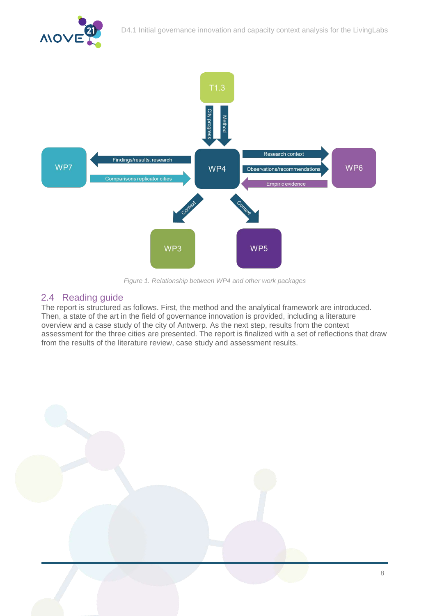

*Figure 1. Relationship between WP4 and other work packages*

#### <span id="page-8-1"></span><span id="page-8-0"></span>2.4 Reading guide

The report is structured as follows. First, the method and the analytical framework are introduced. Then, a state of the art in the field of governance innovation is provided, including a literature overview and a case study of the city of Antwerp. As the next step, results from the context assessment for the three cities are presented. The report is finalized with a set of reflections that draw from the results of the literature review, case study and assessment results.

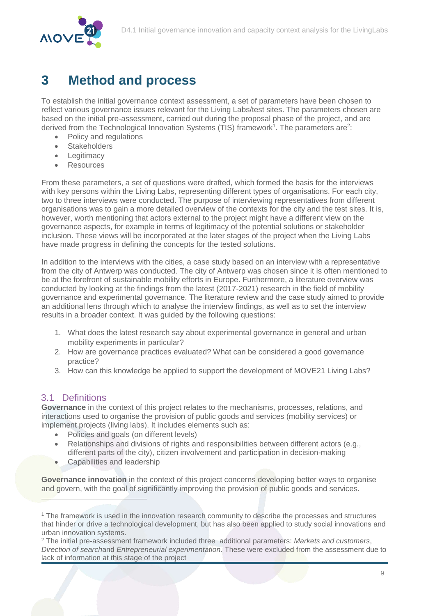

## <span id="page-9-0"></span>**3 Method and process**

To establish the initial governance context assessment, a set of parameters have been chosen to reflect various governance issues relevant for the Living Labs/test sites. The parameters chosen are based on the initial pre-assessment, carried out during the proposal phase of the project, and are derived from the Technological Innovation Systems (TIS) framework<sup>1</sup>. The parameters are<sup>2</sup>:

- Policy and regulations
- **Stakeholders**
- Legitimacy
- Resources

From these parameters, a set of questions were drafted, which formed the basis for the interviews with key persons within the Living Labs, representing different types of organisations. For each city, two to three interviews were conducted. The purpose of interviewing representatives from different organisations was to gain a more detailed overview of the contexts for the city and the test sites. It is, however, worth mentioning that actors external to the project might have a different view on the governance aspects, for example in terms of legitimacy of the potential solutions or stakeholder inclusion. These views will be incorporated at the later stages of the project when the Living Labs have made progress in defining the concepts for the tested solutions.

In addition to the interviews with the cities, a case study based on an interview with a representative from the city of Antwerp was conducted. The city of Antwerp was chosen since it is often mentioned to be at the forefront of sustainable mobility efforts in Europe. Furthermore, a literature overview was conducted by looking at the findings from the latest (2017-2021) research in the field of mobility governance and experimental governance. The literature review and the case study aimed to provide an additional lens through which to analyse the interview findings, as well as to set the interview results in a broader context. It was guided by the following questions:

- 1. What does the latest research say about experimental governance in general and urban mobility experiments in particular?
- 2. How are governance practices evaluated? What can be considered a good governance practice?
- 3. How can this knowledge be applied to support the development of MOVE21 Living Labs?

#### <span id="page-9-1"></span>3.1 Definitions

 $\overline{a}$ 

**Governance** in the context of this project relates to the mechanisms, processes, relations, and interactions used to organise the provision of public goods and services (mobility services) or implement projects (living labs). It includes elements such as:

- Policies and goals (on different levels)
- Relationships and divisions of rights and responsibilities between different actors (e.g., different parts of the city), citizen involvement and participation in decision-making
- Capabilities and leadership

**Governance innovation** in the context of this project concerns developing better ways to organise and govern, with the goal of significantly improving the provision of public goods and services.

<sup>1</sup> The framework is used in the innovation research community to describe the processes and structures that hinder or drive a technological development, but has also been applied to study social innovations and urban innovation systems.

<sup>2</sup> The initial pre-assessment framework included three additional parameters: *Markets and customers*, *Direction of search*and *Entrepreneurial experimentation.* These were excluded from the assessment due to lack of information at this stage of the project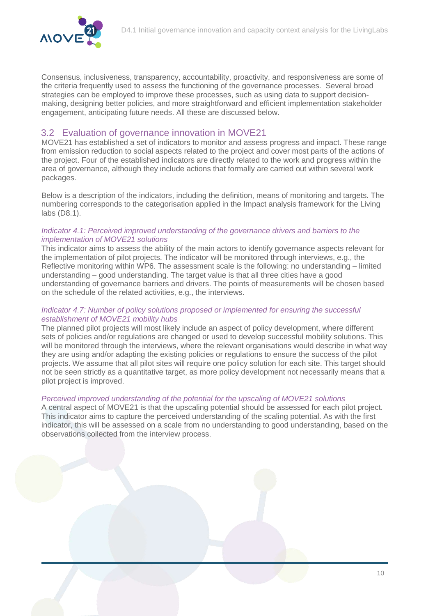

Consensus, inclusiveness, transparency, accountability, proactivity, and responsiveness are some of the criteria frequently used to assess the functioning of the governance processes. Several broad strategies can be employed to improve these processes, such as using data to support decisionmaking, designing better policies, and more straightforward and efficient implementation stakeholder engagement, anticipating future needs. All these are discussed below.

#### <span id="page-10-0"></span>3.2 Evaluation of governance innovation in MOVE21

MOVE21 has established a set of indicators to monitor and assess progress and impact. These range from emission reduction to social aspects related to the project and cover most parts of the actions of the project. Four of the established indicators are directly related to the work and progress within the area of governance, although they include actions that formally are carried out within several work packages.

Below is a description of the indicators, including the definition, means of monitoring and targets. The numbering corresponds to the categorisation applied in the Impact analysis framework for the Living labs (D8.1).

#### *Indicator 4.1: Perceived improved understanding of the governance drivers and barriers to the implementation of MOVE21 solutions*

This indicator aims to assess the ability of the main actors to identify governance aspects relevant for the implementation of pilot projects. The indicator will be monitored through interviews, e.g., the Reflective monitoring within WP6. The assessment scale is the following: no understanding – limited understanding – good understanding. The target value is that all three cities have a good understanding of governance barriers and drivers. The points of measurements will be chosen based on the schedule of the related activities, e.g., the interviews.

#### *Indicator 4.7: Number of policy solutions proposed or implemented for ensuring the successful establishment of MOVE21 mobility hubs*

The planned pilot projects will most likely include an aspect of policy development, where different sets of policies and/or regulations are changed or used to develop successful mobility solutions. This will be monitored through the interviews, where the relevant organisations would describe in what way they are using and/or adapting the existing policies or regulations to ensure the success of the pilot projects. We assume that all pilot sites will require one policy solution for each site. This target should not be seen strictly as a quantitative target, as more policy development not necessarily means that a pilot project is improved.

#### *Perceived improved understanding of the potential for the upscaling of MOVE21 solutions*

A central aspect of MOVE21 is that the upscaling potential should be assessed for each pilot project. This indicator aims to capture the perceived understanding of the scaling potential. As with the first indicator, this will be assessed on a scale from no understanding to good understanding, based on the observations collected from the interview process.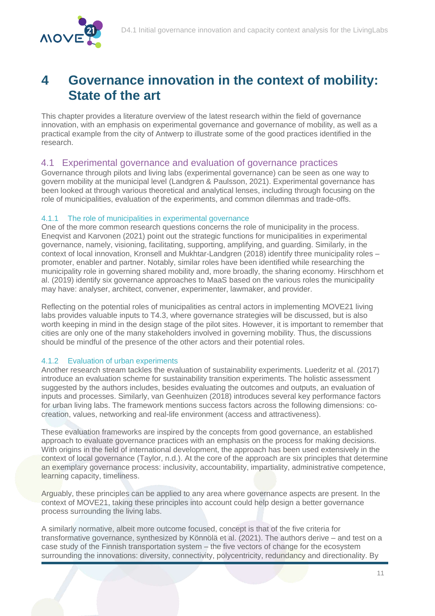

### <span id="page-11-0"></span>**4 Governance innovation in the context of mobility: State of the art**

This chapter provides a literature overview of the latest research within the field of governance innovation, with an emphasis on experimental governance and governance of mobility, as well as a practical example from the city of Antwerp to illustrate some of the good practices identified in the research.

#### <span id="page-11-1"></span>4.1 Experimental governance and evaluation of governance practices

Governance through pilots and living labs (experimental governance) can be seen as one way to govern mobility at the municipal level (Landgren & Paulsson, 2021). Experimental governance has been looked at through various theoretical and analytical lenses, including through focusing on the role of municipalities, evaluation of the experiments, and common dilemmas and trade-offs.

#### <span id="page-11-2"></span>4.1.1 The role of municipalities in experimental governance

One of the more common research questions concerns the role of municipality in the process. Eneqvist and Karvonen (2021) point out the strategic functions for municipalities in experimental governance, namely, visioning, facilitating, supporting, amplifying, and guarding. Similarly, in the context of local innovation, Kronsell and Mukhtar-Landgren (2018) identify three municipality roles – promoter, enabler and partner. Notably, similar roles have been identified while researching the municipality role in governing shared mobility and, more broadly, the sharing economy. Hirschhorn et al. (2019) identify six governance approaches to MaaS based on the various roles the municipality may have: analyser, architect, convener, experimenter, lawmaker, and provider.

Reflecting on the potential roles of municipalities as central actors in implementing MOVE21 living labs provides valuable inputs to T4.3, where governance strategies will be discussed, but is also worth keeping in mind in the design stage of the pilot sites. However, it is important to remember that cities are only one of the many stakeholders involved in governing mobility. Thus, the discussions should be mindful of the presence of the other actors and their potential roles.

#### 4.1.2 Evaluation of urban experiments

Another research stream tackles the evaluation of sustainability experiments. Luederitz et al. (2017) introduce an evaluation scheme for sustainability transition experiments. The holistic assessment suggested by the authors includes, besides evaluating the outcomes and outputs, an evaluation of inputs and processes. Similarly, van Geenhuizen (2018) introduces several key performance factors for urban living labs. The framework mentions success factors across the following dimensions: cocreation, values, networking and real-life environment (access and attractiveness).

These evaluation frameworks are inspired by the concepts from good governance, an established approach to evaluate governance practices with an emphasis on the process for making decisions. With origins in the field of international development, the approach has been used extensively in the context of local governance (Taylor, n.d.). At the core of the approach are six principles that determine an exemplary governance process: inclusivity, accountability, impartiality, administrative competence, learning capacity, timeliness.

Arguably, these principles can be applied to any area where governance aspects are present. In the context of MOVE21, taking these principles into account could help design a better governance process surrounding the living labs.

A similarly normative, albeit more outcome focused, concept is that of the five criteria for transformative governance, synthesized by Könnölä et al. (2021). The authors derive – and test on a case study of the Finnish transportation system – the five vectors of change for the ecosystem surrounding the innovations: diversity, connectivity, polycentricity, redundancy and directionality. By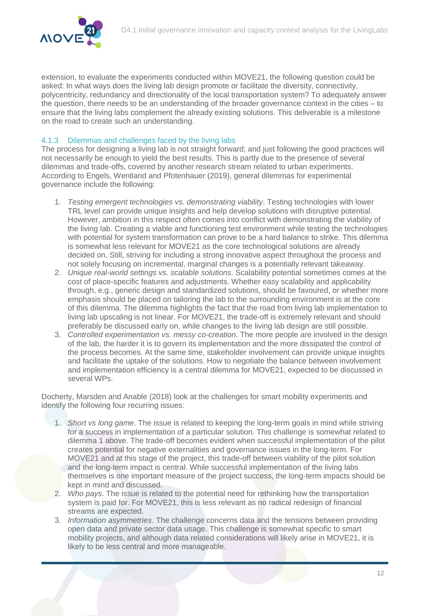

extension, to evaluate the experiments conducted within MOVE21, the following question could be asked: In what ways does the living lab design promote or facilitate the diversity, connectivity, polycentricity, redundancy and directionality of the local transportation system? To adequately answer the question, there needs to be an understanding of the broader governance context in the cities – to ensure that the living labs complement the already existing solutions. This deliverable is a milestone on the road to create such an understanding.

#### 4.1.3 Dilemmas and challenges faced by the living labs

The process for designing a living lab is not straight forward; and just following the good practices will not necessarily be enough to yield the best results. This is partly due to the presence of several dilemmas and trade-offs, covered by another research stream related to urban experiments. According to Engels, Wentland and Pfotenhauer (2019), general dilemmas for experimental governance include the following:

- 1. *Testing emergent technologies vs. demonstrating viability*. Testing technologies with lower TRL level can provide unique insights and help develop solutions with disruptive potential. However, ambition in this respect often comes into conflict with demonstrating the viability of the living lab. Creating a viable and functioning test environment while testing the technologies with potential for system transformation can prove to be a hard balance to strike. This dilemma is somewhat less relevant for MOVE21 as the core technological solutions are already decided on. Still, striving for including a strong innovative aspect throughout the process and not solely focusing on incremental, marginal changes is a potentially relevant takeaway.
- 2. *Unique real-world settings vs. scalable solutions*. Scalability potential sometimes comes at the cost of place-specific features and adjustments. Whether easy scalability and applicability through, e.g., generic design and standardized solutions, should be favoured, or whether more emphasis should be placed on tailoring the lab to the surrounding environment is at the core of this dilemma. The dilemma highlights the fact that the road from living lab implementation to living lab upscaling is not linear. For MOVE21, the trade-off is extremely relevant and should preferably be discussed early on, while changes to the living lab design are still possible.
- 3. *Controlled experimentation vs. messy co-creation*. The more people are involved in the design of the lab, the harder it is to govern its implementation and the more dissipated the control of the process becomes. At the same time, stakeholder involvement can provide unique insights and facilitate the uptake of the solutions. How to negotiate the balance between involvement and implementation efficiency is a central dilemma for MOVE21, expected to be discussed in several WPs.

Docherty, Marsden and Anable (2018) look at the challenges for smart mobility experiments and identify the following four recurring issues:

- 1. *Short vs long game*. The issue is related to keeping the long-term goals in mind while striving for a success in implementation of a particular solution. This challenge is somewhat related to dilemma 1 above. The trade-off becomes evident when successful implementation of the pilot creates potential for negative externalities and governance issues in the long-term. For MOVE21 and at this stage of the project, this trade-off between viability of the pilot solution and the long-term impact is central. While successful implementation of the living labs themselves is one important measure of the project success, the long-term impacts should be kept in mind and discussed.
- 2. *Who pays*. The issue is related to the potential need for rethinking how the transportation system is paid for. For MOVE21, this is less relevant as no radical redesign of financial streams are expected.
- 3. *Information asymmetries*. The challenge concerns data and the tensions between providing open data and private sector data usage. This challenge is somewhat specific to smart mobility projects, and although data related considerations will likely arise in MOVE21, it is likely to be less central and more manageable.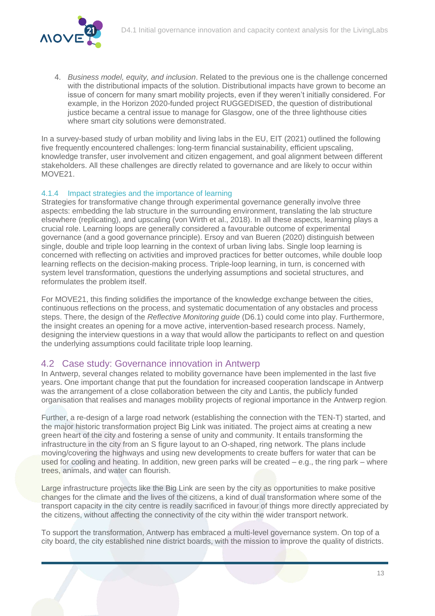

4. *Business model, equity, and inclusion*. Related to the previous one is the challenge concerned with the distributional impacts of the solution. Distributional impacts have grown to become an issue of concern for many smart mobility projects, even if they weren't initially considered. For example, in the Horizon 2020-funded project RUGGEDISED, the question of distributional justice became a central issue to manage for Glasgow, one of the three lighthouse cities where smart city solutions were demonstrated.

In a survey-based study of urban mobility and living labs in the EU, EIT (2021) outlined the following five frequently encountered challenges: long-term financial sustainability, efficient upscaling, knowledge transfer, user involvement and citizen engagement, and goal alignment between different stakeholders. All these challenges are directly related to governance and are likely to occur within MOVE21.

#### 4.1.4 Impact strategies and the importance of learning

Strategies for transformative change through experimental governance generally involve three aspects: embedding the lab structure in the surrounding environment, translating the lab structure elsewhere (replicating), and upscaling (von Wirth et al., 2018). In all these aspects, learning plays a crucial role. Learning loops are generally considered a favourable outcome of experimental governance (and a good governance principle). Ersoy and van Bueren (2020) distinguish between single, double and triple loop learning in the context of urban living labs. Single loop learning is concerned with reflecting on activities and improved practices for better outcomes, while double loop learning reflects on the decision-making process. Triple-loop learning, in turn, is concerned with system level transformation, questions the underlying assumptions and societal structures, and reformulates the problem itself.

For MOVE21, this finding solidifies the importance of the knowledge exchange between the cities, continuous reflections on the process, and systematic documentation of any obstacles and process steps. There, the design of the *Reflective Monitoring guide* (D6.1) could come into play. Furthermore, the insight creates an opening for a move active, intervention-based research process. Namely, designing the interview questions in a way that would allow the participants to reflect on and question the underlying assumptions could facilitate triple loop learning.

#### <span id="page-13-0"></span>4.2 Case study: Governance innovation in Antwerp

In Antwerp, several changes related to mobility governance have been implemented in the last five years. One important change that put the foundation for increased cooperation landscape in Antwerp was the arrangement of a close collaboration between the city and Lantis, the publicly funded organisation that realises and manages mobility projects of regional importance in the Antwerp region.

Further, a re-design of a large road network (establishing the connection with the TEN-T) started, and the major historic transformation project Big Link was initiated. The project aims at creating a new green heart of the city and fostering a sense of unity and community. It entails transforming the infrastructure in the city from an S figure layout to an O-shaped, ring network. The plans include moving/covering the highways and using new developments to create buffers for water that can be used for cooling and heating. In addition, new green parks will be created – e.g., the ring park – where trees, animals, and water can flourish.

Large infrastructure projects like the Big Link are seen by the city as opportunities to make positive changes for the climate and the lives of the citizens, a kind of dual transformation where some of the transport capacity in the city centre is readily sacrificed in favour of things more directly appreciated by the citizens, without affecting the connectivity of the city within the wider transport network.

To support the transformation, Antwerp has embraced a multi-level governance system. On top of a city board, the city established nine district boards, with the mission to improve the quality of districts.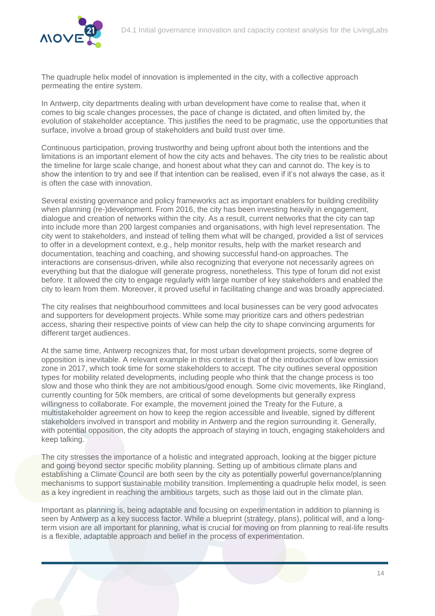

The quadruple helix model of innovation is implemented in the city, with a collective approach permeating the entire system.

In Antwerp, city departments dealing with urban development have come to realise that, when it comes to big scale changes processes, the pace of change is dictated, and often limited by, the evolution of stakeholder acceptance. This justifies the need to be pragmatic, use the opportunities that surface, involve a broad group of stakeholders and build trust over time.

Continuous participation, proving trustworthy and being upfront about both the intentions and the limitations is an important element of how the city acts and behaves. The city tries to be realistic about the timeline for large scale change, and honest about what they can and cannot do. The key is to show the intention to try and see if that intention can be realised, even if it's not always the case, as it is often the case with innovation.

Several existing governance and policy frameworks act as important enablers for building credibility when planning (re-)development. From 2016, the city has been investing heavily in engagement, dialogue and creation of networks within the city. As a result, current networks that the city can tap into include more than 200 largest companies and organisations, with high level representation. The city went to stakeholders, and instead of telling them what will be changed, provided a list of services to offer in a development context, e.g., help monitor results, help with the market research and documentation, teaching and coaching, and showing successful hand-on approaches. The interactions are consensus-driven, while also recognizing that everyone not necessarily agrees on everything but that the dialogue will generate progress, nonetheless. This type of forum did not exist before. It allowed the city to engage regularly with large number of key stakeholders and enabled the city to learn from them. Moreover, it proved useful in facilitating change and was broadly appreciated.

The city realises that neighbourhood committees and local businesses can be very good advocates and supporters for development projects. While some may prioritize cars and others pedestrian access, sharing their respective points of view can help the city to shape convincing arguments for different target audiences.

At the same time, Antwerp recognizes that, for most urban development projects, some degree of opposition is inevitable. A relevant example in this context is that of the introduction of low emission zone in 2017, which took time for some stakeholders to accept. The city outlines several opposition types for mobility related developments, including people who think that the change process is too slow and those who think they are not ambitious/good enough. Some civic movements, like Ringland, currently counting for 50k members, are critical of some developments but generally express willingness to collaborate. For example, the movement joined the Treaty for the Future, a multistakeholder agreement on how to keep the region accessible and liveable, signed by different stakeholders involved in transport and mobility in Antwerp and the region surrounding it. Generally, with potential opposition, the city adopts the approach of staying in touch, engaging stakeholders and keep talking.

The city stresses the importance of a holistic and integrated approach, looking at the bigger picture and going beyond sector specific mobility planning. Setting up of ambitious climate plans and establishing a Climate Council are both seen by the city as potentially powerful governance/planning mechanisms to support sustainable mobility transition. Implementing a quadruple helix model, is seen as a key ingredient in reaching the ambitious targets, such as those laid out in the climate plan.

Important as planning is, being adaptable and focusing on experimentation in addition to planning is seen by Antwerp as a key success factor. While a blueprint (strategy, plans), political will, and a longterm vision are all important for planning, what is crucial for moving on from planning to real-life results is a flexible, adaptable approach and belief in the process of experimentation.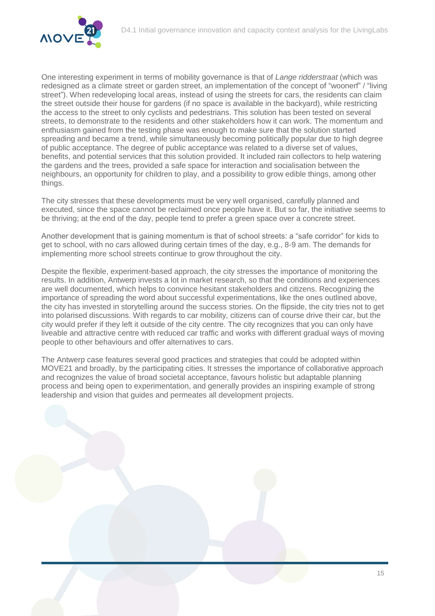

One interesting experiment in terms of mobility governance is that of *Lange ridderstraat* (which was redesigned as a climate street or garden street, an implementation of the concept of "woonerf" / "living street"). When redeveloping local areas, instead of using the streets for cars, the residents can claim the street outside their house for gardens (if no space is available in the backyard), while restricting the access to the street to only cyclists and pedestrians. This solution has been tested on several streets, to demonstrate to the residents and other stakeholders how it can work. The momentum and enthusiasm gained from the testing phase was enough to make sure that the solution started spreading and became a trend, while simultaneously becoming politically popular due to high degree of public acceptance. The degree of public acceptance was related to a diverse set of values, benefits, and potential services that this solution provided. It included rain collectors to help watering the gardens and the trees, provided a safe space for interaction and socialisation between the neighbours, an opportunity for children to play, and a possibility to grow edible things, among other things.

The city stresses that these developments must be very well organised, carefully planned and executed, since the space cannot be reclaimed once people have it. But so far, the initiative seems to be thriving; at the end of the day, people tend to prefer a green space over a concrete street.

Another development that is gaining momentum is that of school streets: a "safe corridor" for kids to get to school, with no cars allowed during certain times of the day, e.g., 8-9 am. The demands for implementing more school streets continue to grow throughout the city.

Despite the flexible, experiment-based approach, the city stresses the importance of monitoring the results. In addition, Antwerp invests a lot in market research, so that the conditions and experiences are well documented, which helps to convince hesitant stakeholders and citizens. Recognizing the importance of spreading the word about successful experimentations, like the ones outlined above, the city has invested in storytelling around the success stories. On the flipside, the city tries not to get into polarised discussions. With regards to car mobility, citizens can of course drive their car, but the city would prefer if they left it outside of the city centre. The city recognizes that you can only have liveable and attractive centre with reduced car traffic and works with different gradual ways of moving people to other behaviours and offer alternatives to cars.

The Antwerp case features several good practices and strategies that could be adopted within MOVE21 and broadly, by the participating cities. It stresses the importance of collaborative approach and recognizes the value of broad societal acceptance, favours holistic but adaptable planning process and being open to experimentation, and generally provides an inspiring example of strong leadership and vision that guides and permeates all development projects.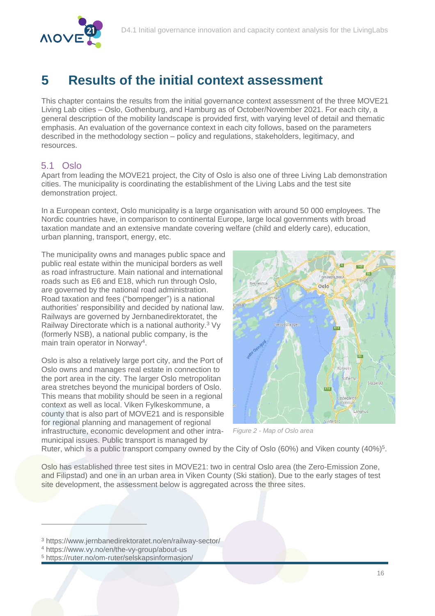

## <span id="page-16-0"></span>**5 Results of the initial context assessment**

This chapter contains the results from the initial governance context assessment of the three MOVE21 Living Lab cities – Oslo, Gothenburg, and Hamburg as of October/November 2021. For each city, a general description of the mobility landscape is provided first, with varying level of detail and thematic emphasis. An evaluation of the governance context in each city follows, based on the parameters described in the methodology section – policy and regulations, stakeholders, legitimacy, and resources.

#### <span id="page-16-1"></span>5.1 Oslo

Apart from leading the MOVE21 project, the City of Oslo is also one of three Living Lab demonstration cities. The municipality is coordinating the establishment of the Living Labs and the test site demonstration project.

In a European context, Oslo municipality is a large organisation with around 50 000 employees. The Nordic countries have, in comparison to continental Europe, large local governments with broad taxation mandate and an extensive mandate covering welfare (child and elderly care), education, urban planning, transport, energy, etc.

The municipality owns and manages public space and public real estate within the municipal borders as well as road infrastructure. Main national and international roads such as E6 and E18, which run through Oslo, are governed by the national road administration. Road taxation and fees ("bompenger") is a national authorities' responsibility and decided by national law. Railways are governed by Jernbanedirektoratet, the Railway Directorate which is a national authority.<sup>3</sup> Vy (formerly NSB), a national public company, is the main train operator in Norway<sup>4</sup>.

Oslo is also a relatively large port city, and the Port of Oslo owns and manages real estate in connection to the port area in the city. The larger Oslo metropolitan area stretches beyond the municipal borders of Oslo. This means that mobility should be seen in a regional context as well as local. Viken Fylkeskommune, a county that is also part of MOVE21 and is responsible for regional planning and management of regional infrastructure, economic development and other intramunicipal issues. Public transport is managed by



*Figure 2 - Map of Oslo area*

Ruter, which is a public transport company owned by the City of Oslo (60%) and Viken county (40%)<sup>5</sup>.

Oslo has established three test sites in MOVE21: two in central Oslo area (the Zero-Emission Zone, and Filipstad) and one in an urban area in Viken County (Ski station). Due to the early stages of test site development, the assessment below is aggregated across the three sites.

<sup>3</sup> https://www.jernbanedirektoratet.no/en/railway-sector/

 $\overline{a}$ 

<sup>4</sup> https://www.vy.no/en/the-vy-group/about-us

<sup>5</sup> https://ruter.no/om-ruter/selskapsinformasjon/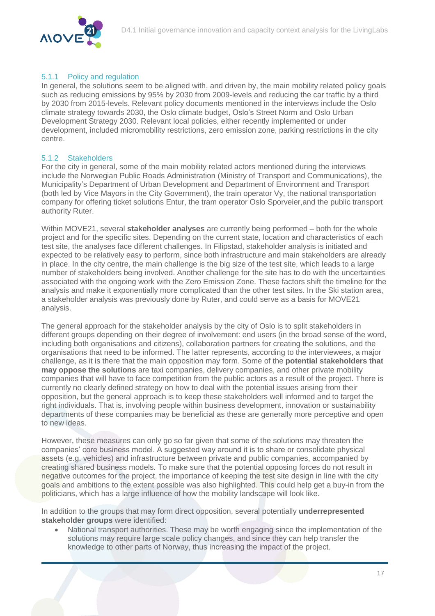

#### 5.1.1 Policy and regulation

In general, the solutions seem to be aligned with, and driven by, the main mobility related policy goals such as reducing emissions by 95% by 2030 from 2009-levels and reducing the car traffic by a third by 2030 from 2015-levels. Relevant policy documents mentioned in the interviews include the Oslo climate strategy towards 2030, the Oslo climate budget, Oslo's Street Norm and Oslo Urban Development Strategy 2030. Relevant local policies, either recently implemented or under development, included micromobility restrictions, zero emission zone, parking restrictions in the city centre.

#### 5.1.2 Stakeholders

For the city in general, some of the main mobility related actors mentioned during the interviews include the Norwegian Public Roads Administration (Ministry of Transport and Communications), the Municipality's Department of Urban Development and Department of Environment and Transport (both led by Vice Mayors in the City Government), the train operator Vy, the national transportation company for offering ticket solutions Entur, the tram operator Oslo Sporveier,and the public transport authority Ruter.

Within MOVE21, several **stakeholder analyses** are currently being performed – both for the whole project and for the specific sites. Depending on the current state, location and characteristics of each test site, the analyses face different challenges. In Filipstad, stakeholder analysis is initiated and expected to be relatively easy to perform, since both infrastructure and main stakeholders are already in place. In the city centre, the main challenge is the big size of the test site, which leads to a large number of stakeholders being involved. Another challenge for the site has to do with the uncertainties associated with the ongoing work with the Zero Emission Zone. These factors shift the timeline for the analysis and make it exponentially more complicated than the other test sites. In the Ski station area, a stakeholder analysis was previously done by Ruter, and could serve as a basis for MOVE21 analysis.

The general approach for the stakeholder analysis by the city of Oslo is to split stakeholders in different groups depending on their degree of involvement: end users (in the broad sense of the word, including both organisations and citizens), collaboration partners for creating the solutions, and the organisations that need to be informed. The latter represents, according to the interviewees, a major challenge, as it is there that the main opposition may form. Some of the **potential stakeholders that may oppose the solutions** are taxi companies, delivery companies, and other private mobility companies that will have to face competition from the public actors as a result of the project. There is currently no clearly defined strategy on how to deal with the potential issues arising from their opposition, but the general approach is to keep these stakeholders well informed and to target the right individuals. That is, involving people within business development, innovation or sustainability departments of these companies may be beneficial as these are generally more perceptive and open to new ideas.

However, these measures can only go so far given that some of the solutions may threaten the companies' core business model. A suggested way around it is to share or consolidate physical assets (e.g. vehicles) and infrastructure between private and public companies, accompanied by creating shared business models. To make sure that the potential opposing forces do not result in negative outcomes for the project, the importance of keeping the test site design in line with the city goals and ambitions to the extent possible was also highlighted. This could help get a buy-in from the politicians, which has a large influence of how the mobility landscape will look like.

In addition to the groups that may form direct opposition, several potentially **underrepresented stakeholder groups** were identified:

 National transport authorities. These may be worth engaging since the implementation of the solutions may require large scale policy changes, and since they can help transfer the knowledge to other parts of Norway, thus increasing the impact of the project.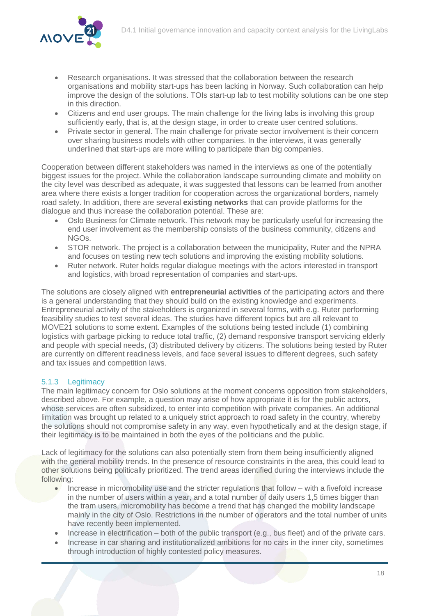- Research organisations. It was stressed that the collaboration between the research organisations and mobility start-ups has been lacking in Norway. Such collaboration can help improve the design of the solutions. TOIs start-up lab to test mobility solutions can be one step in this direction.
- Citizens and end user groups. The main challenge for the living labs is involving this group sufficiently early, that is, at the design stage, in order to create user centred solutions.
- Private sector in general. The main challenge for private sector involvement is their concern over sharing business models with other companies. In the interviews, it was generally underlined that start-ups are more willing to participate than big companies.

Cooperation between different stakeholders was named in the interviews as one of the potentially biggest issues for the project. While the collaboration landscape surrounding climate and mobility on the city level was described as adequate, it was suggested that lessons can be learned from another area where there exists a longer tradition for cooperation across the organizational borders, namely road safety. In addition, there are several **existing networks** that can provide platforms for the dialogue and thus increase the collaboration potential. These are:

- Oslo Business for Climate network. This network may be particularly useful for increasing the end user involvement as the membership consists of the business community, citizens and NGOs.
- STOR network. The project is a collaboration between the municipality, Ruter and the NPRA and focuses on testing new tech solutions and improving the existing mobility solutions.
- Ruter network. Ruter holds regular dialogue meetings with the actors interested in transport and logistics, with broad representation of companies and start-ups.

The solutions are closely aligned with **entrepreneurial activities** of the participating actors and there is a general understanding that they should build on the existing knowledge and experiments. Entrepreneurial activity of the stakeholders is organized in several forms, with e.g. Ruter performing feasibility studies to test several ideas. The studies have different topics but are all relevant to MOVE21 solutions to some extent. Examples of the solutions being tested include (1) combining logistics with garbage picking to reduce total traffic,  $(2)$  demand responsive transport servicing elderly and people with special needs, (3) distributed delivery by citizens. The solutions being tested by Ruter are currently on different readiness levels, and face several issues to different degrees, such safety and tax issues and competition laws.

#### 5.1.3 Legitimacy

The main legitimacy concern for Oslo solutions at the moment concerns opposition from stakeholders, described above. For example, a question may arise of how appropriate it is for the public actors, whose services are often subsidized, to enter into competition with private companies. An additional limitation was brought up related to a uniquely strict approach to road safety in the country, whereby the solutions should not compromise safety in any way, even hypothetically and at the design stage, if their legitimacy is to be maintained in both the eyes of the politicians and the public.

Lack of legitimacy for the solutions can also potentially stem from them being insufficiently aligned with the general mobility trends. In the presence of resource constraints in the area, this could lead to other solutions being politically prioritized. The trend areas identified during the interviews include the following:

- Increase in micromobility use and the stricter regulations that follow with a fivefold increase in the number of users within a year, and a total number of daily users 1,5 times bigger than the tram users, micromobility has become a trend that has changed the mobility landscape mainly in the city of Oslo. Restrictions in the number of operators and the total number of units have recently been implemented.
- Increase in electrification both of the public transport (e.g., bus fleet) and of the private cars.
- Increase in car sharing and institutionalized ambitions for no cars in the inner city, sometimes through introduction of highly contested policy measures.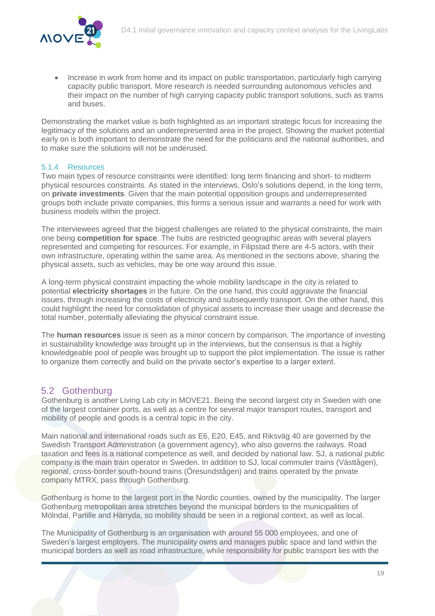

• Increase in work from home and its impact on public transportation, particularly high carrying capacity public transport. More research is needed surrounding autonomous vehicles and their impact on the number of high carrying capacity public transport solutions, such as trams and buses.

Demonstrating the market value is both highlighted as an important strategic focus for increasing the legitimacy of the solutions and an underrepresented area in the project. Showing the market potential early on is both important to demonstrate the need for the politicians and the national authorities, and to make sure the solutions will not be underused.

#### 5.1.4 Resources

Two main types of resource constraints were identified: long term financing and short- to midterm physical resources constraints. As stated in the interviews, Oslo's solutions depend, in the long term, on **private investments**. Given that the main potential opposition groups and underrepresented groups both include private companies, this forms a serious issue and warrants a need for work with business models within the project.

The interviewees agreed that the biggest challenges are related to the physical constraints, the main one being **competition for space**. The hubs are restricted geographic areas with several players represented and competing for resources. For example, in Filipstad there are 4-5 actors, with their own infrastructure, operating within the same area. As mentioned in the sections above, sharing the physical assets, such as vehicles, may be one way around this issue.

A long-term physical constraint impacting the whole mobility landscape in the city is related to potential **electricity shortages** in the future. On the one hand, this could aggravate the financial issues, through increasing the costs of electricity and subsequently transport. On the other hand, this could highlight the need for consolidation of physical assets to increase their usage and decrease the total number, potentially alleviating the physical constraint issue.

The **human resources** issue is seen as a minor concern by comparison. The importance of investing in sustainability knowledge was brought up in the interviews, but the consensus is that a highly knowledgeable pool of people was brought up to support the pilot implementation. The issue is rather to organize them correctly and build on the private sector's expertise to a larger extent.

#### <span id="page-19-0"></span>5.2 Gothenburg

Gothenburg is another Living Lab city in MOVE21. Being the second largest city in Sweden with one of the largest container ports, as well as a centre for several major transport routes, transport and mobility of people and goods is a central topic in the city.

Main national and international roads such as E6, E20, E45, and Riksväg 40 are governed by the Swedish Transport Administration (a government agency), who also governs the railways. Road taxation and fees is a national competence as well, and decided by national law. SJ, a national public company is the main train operator in Sweden. In addition to SJ, local commuter trains (Västtågen), regional, cross-border south-bound trains (Öresundstågen) and trains operated by the private company MTRX, pass through Gothenburg.

Gothenburg is home to the largest port in the Nordic counties, owned by the municipality. The larger Gothenburg metropolitan area stretches beyond the municipal borders to the municipalities of Mölndal, Partille and Härryda, so mobility should be seen in a regional context, as well as local.

The Municipality of Gothenburg is an organisation with around 55 000 employees, and one of Sweden's largest employers. The municipality owns and manages public space and land within the municipal borders as well as road infrastructure, while responsibility for public transport lies with the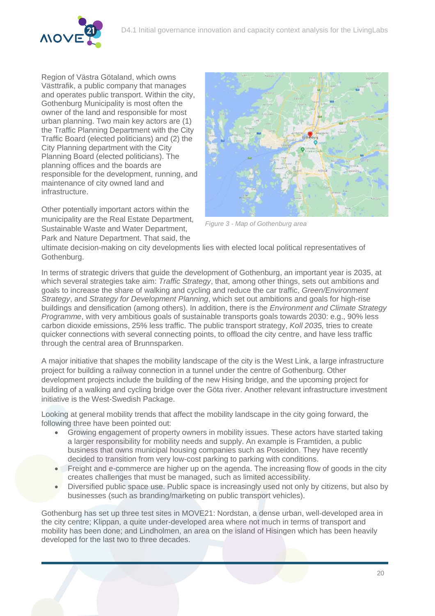

Region of Västra Götaland, which owns Västtrafik, a public company that manages and operates public transport. Within the city, Gothenburg Municipality is most often the owner of the land and responsible for most urban planning. Two main key actors are (1) the Traffic Planning Department with the City Traffic Board (elected politicians) and (2) the City Planning department with the City Planning Board (elected politicians). The planning offices and the boards are responsible for the development, running, and maintenance of city owned land and infrastructure.

Other potentially important actors within the municipality are the Real Estate Department, Sustainable Waste and Water Department, Park and Nature Department. That said, the



*Figure 3 - Map of Gothenburg area*

ultimate decision-making on city developments lies with elected local political representatives of Gothenburg.

In terms of strategic drivers that guide the development of Gothenburg, an important year is 2035, at which several strategies take aim: *Traffic Strategy*, that, among other things, sets out ambitions and goals to increase the share of walking and cycling and reduce the car traffic, *Green/Environment Strategy*, and *Strategy for Development Planning*, which set out ambitions and goals for high-rise buildings and densification (among others). In addition, there is the *Environment and Climate Strategy Programme*, with very ambitious goals of sustainable transports goals towards 2030: e.g., 90% less carbon dioxide emissions, 25% less traffic. The public transport strategy, *Koll 2035,* tries to create quicker connections with several connecting points, to offload the city centre, and have less traffic through the central area of Brunnsparken.

A major initiative that shapes the mobility landscape of the city is the West Link, a large infrastructure project for building a railway connection in a tunnel under the centre of Gothenburg. Other development projects include the building of the new Hising bridge, and the upcoming project for building of a walking and cycling bridge over the Göta river. Another relevant infrastructure investment initiative is the West-Swedish Package.

Looking at general mobility trends that affect the mobility landscape in the city going forward, the following three have been pointed out:

- Growing engagement of property owners in mobility issues. These actors have started taking a larger responsibility for mobility needs and supply. An example is Framtiden, a public business that owns municipal housing companies such as Poseidon. They have recently decided to transition from very low-cost parking to parking with conditions.
- Freight and e-commerce are higher up on the agenda. The increasing flow of goods in the city creates challenges that must be managed, such as limited accessibility.
- Diversified public space use. Public space is increasingly used not only by citizens, but also by businesses (such as branding/marketing on public transport vehicles).

Gothenburg has set up three test sites in MOVE21: Nordstan, a dense urban, well-developed area in the city centre; Klippan, a quite under-developed area where not much in terms of transport and mobility has been done; and Lindholmen, an area on the island of Hisingen which has been heavily developed for the last two to three decades.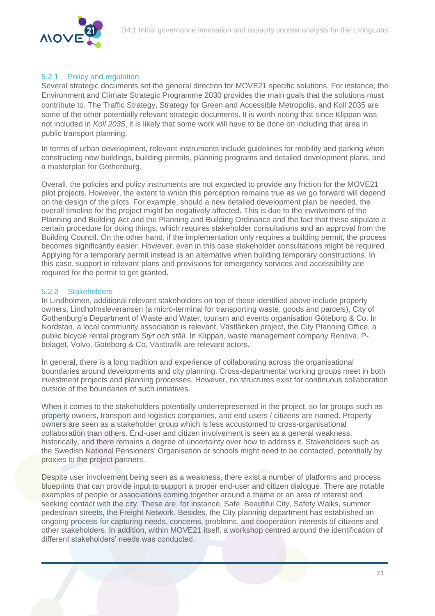

#### 5.2.1 Policy and regulation

Several strategic documents set the general direction for MOVE21 specific solutions. For instance, the Environment and Climate Strategic Programme 2030 provides the main goals that the solutions must contribute to. The Traffic Strategy, Strategy for Green and Accessible Metropolis, and Koll 2035 are some of the other potentially relevant strategic documents. It is worth noting that since Klippan was not included in *Koll 2035*, it is likely that some work will have to be done on including that area in public transport planning.

In terms of urban development, relevant instruments include guidelines for mobility and parking when constructing new buildings, building permits, planning programs and detailed development plans, and a masterplan for Gothenburg.

Overall, the policies and policy instruments are not expected to provide any friction for the MOVE21 pilot projects. However, the extent to which this perception remains true as we go forward will depend on the design of the pilots. For example, should a new detailed development plan be needed, the overall timeline for the project might be negatively affected. This is due to the involvement of the Planning and Building Act and the Planning and Building Ordinance and the fact that these stipulate a certain procedure for doing things, which requires stakeholder consultations and an approval from the Building Council. On the other hand, if the implementation only requires a building permit, the process becomes significantly easier. However, even in this case stakeholder consultations might be required. Applying for a temporary permit instead is an alternative when building temporary constructions. In this case, support in relevant plans and provisions for emergency services and accessibility are required for the permit to get granted.

#### 5.2.2 Stakeholders

In Lindholmen, additional relevant stakeholders on top of those identified above include property owners, Lindholmsleveransen (a micro-terminal for transporting waste, goods and parcels), City of Gothenburg's Department of Waste and Water, tourism and events organisation Göteborg & Co. In Nordstan, a local community association is relevant, Västlänken project, the City Planning Office, a public bicycle rental program *Styr och ställ.* In Klippan, waste management company Renova, Pbolaget, Volvo, Göteborg & Co, Västtrafik are relevant actors.

In general, there is a long tradition and experience of collaborating across the organisational boundaries around developments and city planning. Cross-departmental working groups meet in both investment projects and planning processes. However, no structures exist for continuous collaboration outside of the boundaries of such initiatives.

When it comes to the stakeholders potentially underrepresented in the project, so far groups such as property owners, transport and logistics companies, and end users / citizens are named. Property owners are seen as a stakeholder group which is less accustomed to cross-organisational collaboration than others. End-user and citizen involvement is seen as a general weakness, historically, and there remains a degree of uncertainty over how to address it. Stakeholders such as the Swedish National Pensioners' Organisation or schools might need to be contacted, potentially by proxies to the project partners.

Despite user involvement being seen as a weakness, there exist a number of platforms and process blueprints that can provide input to support a proper end-user and citizen dialogue. There are notable examples of people or associations coming together around a theme or an area of interest and seeking contact with the city. These are, for instance, Safe, Beautiful City, Safety Walks, summer pedestrian streets, the Freight Network. Besides, the City planning department has established an ongoing process for capturing needs, concerns, problems, and cooperation interests of citizens and other stakeholders. In addition, within MOVE21 itself, a workshop centred around the identification of different stakeholders' needs was conducted.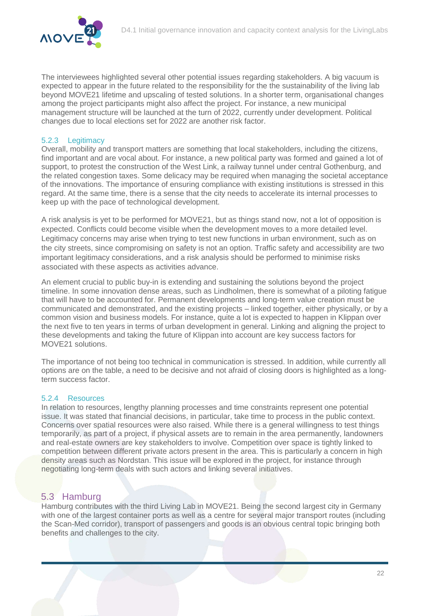

The interviewees highlighted several other potential issues regarding stakeholders. A big vacuum is expected to appear in the future related to the responsibility for the the sustainability of the living lab beyond MOVE21 lifetime and upscaling of tested solutions. In a shorter term, organisational changes among the project participants might also affect the project. For instance, a new municipal management structure will be launched at the turn of 2022, currently under development. Political changes due to local elections set for 2022 are another risk factor.

#### 5.2.3 Legitimacy

Overall, mobility and transport matters are something that local stakeholders, including the citizens, find important and are vocal about. For instance, a new political party was formed and gained a lot of support, to protest the construction of the West Link, a railway tunnel under central Gothenburg, and the related congestion taxes. Some delicacy may be required when managing the societal acceptance of the innovations. The importance of ensuring compliance with existing institutions is stressed in this regard. At the same time, there is a sense that the city needs to accelerate its internal processes to keep up with the pace of technological development.

A risk analysis is yet to be performed for MOVE21, but as things stand now, not a lot of opposition is expected. Conflicts could become visible when the development moves to a more detailed level. Legitimacy concerns may arise when trying to test new functions in urban environment, such as on the city streets, since compromising on safety is not an option. Traffic safety and accessibility are two important legitimacy considerations, and a risk analysis should be performed to minimise risks associated with these aspects as activities advance.

An element crucial to public buy-in is extending and sustaining the solutions beyond the project timeline. In some innovation dense areas, such as Lindholmen, there is somewhat of a piloting fatigue that will have to be accounted for. Permanent developments and long-term value creation must be communicated and demonstrated, and the existing projects – linked together, either physically, or by a common vision and business models. For instance, quite a lot is expected to happen in Klippan over the next five to ten years in terms of urban development in general. Linking and aligning the project to these developments and taking the future of Klippan into account are key success factors for MOVE21 solutions.

The importance of not being too technical in communication is stressed. In addition, while currently all options are on the table, a need to be decisive and not afraid of closing doors is highlighted as a longterm success factor.

#### 5.2.4 Resources

In relation to resources, lengthy planning processes and time constraints represent one potential issue. It was stated that financial decisions, in particular, take time to process in the public context. Concerns over spatial resources were also raised. While there is a general willingness to test things temporarily, as part of a project, if physical assets are to remain in the area permanently, landowners and real-estate owners are key stakeholders to involve. Competition over space is tightly linked to competition between different private actors present in the area. This is particularly a concern in high density areas such as Nordstan. This issue will be explored in the project, for instance through negotiating long-term deals with such actors and linking several initiatives.

#### <span id="page-22-0"></span>5.3 Hamburg

Hamburg contributes with the third Living Lab in MOVE21. Being the second largest city in Germany with one of the largest container ports as well as a centre for several major transport routes (including the Scan-Med corridor), transport of passengers and goods is an obvious central topic bringing both benefits and challenges to the city.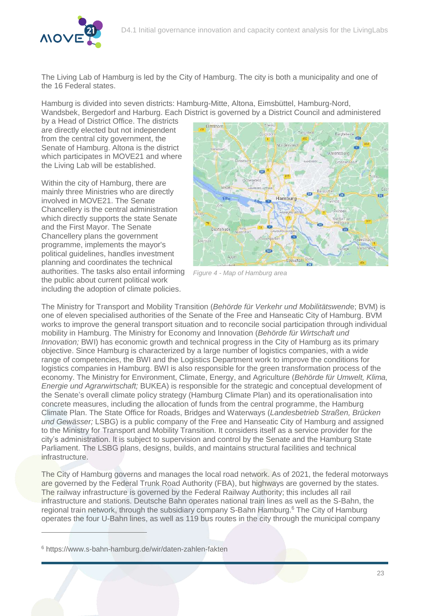

The Living Lab of Hamburg is led by the City of Hamburg. The city is both a municipality and one of the 16 Federal states.

Hamburg is divided into seven districts: Hamburg-Mitte, Altona, Eimsbüttel, Hamburg-Nord, Wandsbek, Bergedorf and Harburg. Each District is governed by a District Council and administered

by a Head of District Office. The districts are directly elected but not independent from the central city government, the Senate of Hamburg. Altona is the district which participates in MOVE21 and where the Living Lab will be established.

Within the city of Hamburg, there are mainly three Ministries who are directly involved in MOVE21. The Senate Chancellery is the central administration which directly supports the state Senate and the First Mayor. The Senate Chancellery plans the government programme, implements the mayor's political guidelines, handles investment planning and coordinates the technical authorities. The tasks also entail informing the public about current political work including the adoption of climate policies.



*Figure 4 - Map of Hamburg area*

The Ministry for Transport and Mobility Transition (*Behörde für Verkehr und Mobilitätswend*e; BVM) is one of eleven specialised authorities of the Senate of the Free and Hanseatic City of Hamburg. BVM works to improve the general transport situation and to reconcile social participation through individual mobility in Hamburg. The Ministry for Economy and Innovation (*Behörde für Wirtschaft und Innovation;* BWI) has economic growth and technical progress in the City of Hamburg as its primary objective. Since Hamburg is characterized by a large number of logistics companies, with a wide range of competencies, the BWI and the Logistics Department work to improve the conditions for logistics companies in Hamburg. BWI is also responsible for the green transformation process of the economy. The Ministry for Environment, Climate, Energy, and Agriculture (*Behörde für Umwelt, Klima, Energie und Agrarwirtschaft;* BUKEA) is responsible for the strategic and conceptual development of the Senate's overall climate policy strategy (Hamburg Climate Plan) and its operationalisation into concrete measures, including the allocation of funds from the central programme, the Hamburg Climate Plan. The State Office for Roads, Bridges and Waterways (*Landesbetrieb Straßen, Brücken und Gewässer;* LSBG) is a public company of the Free and Hanseatic City of Hamburg and assigned to the Ministry for Transport and Mobility Transition. It considers itself as a service provider for the city's administration. It is subject to supervision and control by the Senate and the Hamburg State Parliament. The LSBG plans, designs, builds, and maintains structural facilities and technical infrastructure.

The City of Hamburg governs and manages the local road network. As of 2021, the federal motorways are governed by the Federal Trunk Road Authority (FBA), but highways are governed by the states. The railway infrastructure is governed by the Federal Railway Authority; this includes all rail infrastructure and stations. Deutsche Bahn operates national train lines as well as the S-Bahn, the regional train network, through the subsidiary company S-Bahn Hamburg.<sup>6</sup> The City of Hamburg operates the four U-Bahn lines, as well as 119 bus routes in the city through the municipal company

 $\overline{a}$ 

<sup>6</sup> https://www.s-bahn-hamburg.de/wir/daten-zahlen-fakten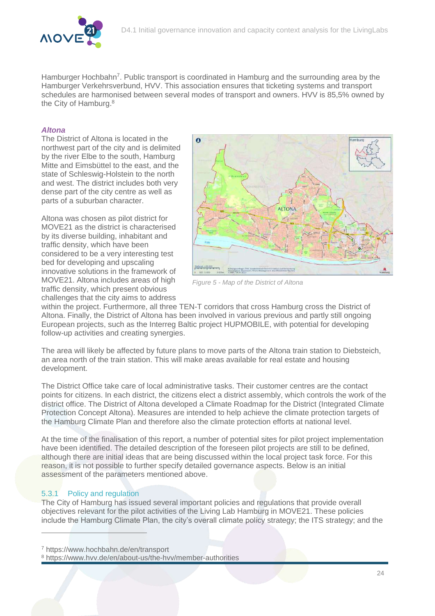

Hamburger Hochbahn<sup>7</sup>. Public transport is coordinated in Hamburg and the surrounding area by the Hamburger Verkehrsverbund, HVV. This association ensures that ticketing systems and transport schedules are harmonised between several modes of transport and owners. HVV is 85,5% owned by the City of Hamburg. 8

#### *Altona*

The District of Altona is located in the northwest part of the city and is delimited by the river Elbe to the south, Hamburg Mitte and Eimsbüttel to the east, and the state of Schleswig-Holstein to the north and west. The district includes both very dense part of the city centre as well as parts of a suburban character.

Altona was chosen as pilot district for MOVE21 as the district is characterised by its diverse building, inhabitant and traffic density, which have been considered to be a very interesting test bed for developing and upscaling innovative solutions in the framework of MOVE21. Altona includes areas of high traffic density, which present obvious challenges that the city aims to address



*Figure 5 - Map of the District of Altona*

within the project. Furthermore, all three TEN-T corridors that cross Hamburg cross the District of Altona. Finally, the District of Altona has been involved in various previous and partly still ongoing European projects, such as the Interreg Baltic project HUPMOBILE, with potential for developing follow-up activities and creating synergies.

The area will likely be affected by future plans to move parts of the Altona train station to Diebsteich, an area north of the train station. This will make areas available for real estate and housing development.

The District Office take care of local administrative tasks. Their customer centres are the contact points for citizens. In each district, the citizens elect a district assembly, which controls the work of the district office. The District of Altona developed a Climate Roadmap for the District (Integrated Climate Protection Concept Altona). Measures are intended to help achieve the climate protection targets of the Hamburg Climate Plan and therefore also the climate protection efforts at national level.

At the time of the finalisation of this report, a number of potential sites for pilot project implementation have been identified. The detailed description of the foreseen pilot projects are still to be defined, although there are initial ideas that are being discussed within the local project task force. For this reason, it is not possible to further specify detailed governance aspects. Below is an initial assessment of the parameters mentioned above.

#### 5.3.1 Policy and regulation

 $\overline{a}$ 

The City of Hamburg has issued several important policies and regulations that provide overall objectives relevant for the pilot activities of the Living Lab Hamburg in MOVE21. These policies include the Hamburg Climate Plan, the city's overall climate policy strategy; the ITS strategy; and the

<sup>7</sup> https://www.hochbahn.de/en/transport

<sup>8</sup> https://www.hvv.de/en/about-us/the-hvv/member-authorities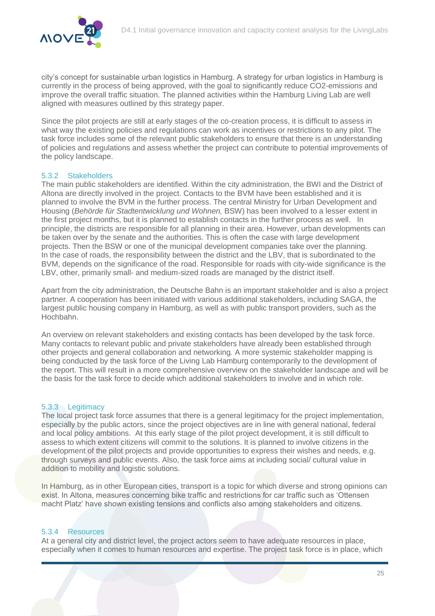city's concept for sustainable urban logistics in Hamburg. A strategy for urban logistics in Hamburg is currently in the process of being approved, with the goal to significantly reduce CO2-emissions and improve the overall traffic situation. The planned activities within the Hamburg Living Lab are well aligned with measures outlined by this strategy paper.

Since the pilot projects are still at early stages of the co-creation process, it is difficult to assess in what way the existing policies and regulations can work as incentives or restrictions to any pilot. The task force includes some of the relevant public stakeholders to ensure that there is an understanding of policies and regulations and assess whether the project can contribute to potential improvements of the policy landscape.

#### 5.3.2 Stakeholders

The main public stakeholders are identified. Within the city administration, the BWI and the District of Altona are directly involved in the project. Contacts to the BVM have been established and it is planned to involve the BVM in the further process. The central Ministry for Urban Development and Housing (*Behörde für Stadtentwicklung und Wohnen,* BSW) has been involved to a lesser extent in the first project months, but it is planned to establish contacts in the further process as well. In principle, the districts are responsible for all planning in their area. However, urban developments can be taken over by the senate and the authorities. This is often the case with large development projects. Then the BSW or one of the municipal development companies take over the planning. In the case of roads, the responsibility between the district and the LBV, that is subordinated to the BVM, depends on the significance of the road. Responsible for roads with city-wide significance is the LBV, other, primarily small- and medium-sized roads are managed by the district itself.

Apart from the city administration, the Deutsche Bahn is an important stakeholder and is also a project partner. A cooperation has been initiated with various additional stakeholders, including SAGA, the largest public housing company in Hamburg, as well as with public transport providers, such as the Hochbahn.

An overview on relevant stakeholders and existing contacts has been developed by the task force. Many contacts to relevant public and private stakeholders have already been established through other projects and general collaboration and networking. A more systemic stakeholder mapping is being conducted by the task force of the Living Lab Hamburg contemporarily to the development of the report. This will result in a more comprehensive overview on the stakeholder landscape and will be the basis for the task force to decide which additional stakeholders to involve and in which role.

#### 5.3.3 Legitimacy

The local project task force assumes that there is a general legitimacy for the project implementation, especially by the public actors, since the project objectives are in line with general national, federal and local policy ambitions. At this early stage of the pilot project development, it is still difficult to assess to which extent citizens will commit to the solutions. It is planned to involve citizens in the development of the pilot projects and provide opportunities to express their wishes and needs, e.g. through surveys and public events. Also, the task force aims at including social/ cultural value in addition to mobility and logistic solutions.

In Hamburg, as in other European cities, transport is a topic for which diverse and strong opinions can exist. In Altona, measures concerning bike traffic and restrictions for car traffic such as 'Ottensen macht Platz' have shown existing tensions and conflicts also among stakeholders and citizens.

#### 5.3.4 Resources

At a general city and district level, the project actors seem to have adequate resources in place, especially when it comes to human resources and expertise. The project task force is in place, which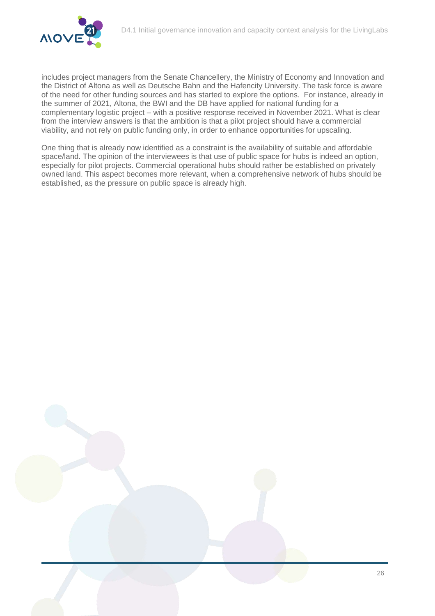

includes project managers from the Senate Chancellery, the Ministry of Economy and Innovation and the District of Altona as well as Deutsche Bahn and the Hafencity University. The task force is aware of the need for other funding sources and has started to explore the options. For instance, already in the summer of 2021, Altona, the BWI and the DB have applied for national funding for a complementary logistic project – with a positive response received in November 2021. What is clear from the interview answers is that the ambition is that a pilot project should have a commercial viability, and not rely on public funding only, in order to enhance opportunities for upscaling.

One thing that is already now identified as a constraint is the availability of suitable and affordable space/land. The opinion of the interviewees is that use of public space for hubs is indeed an option, especially for pilot projects. Commercial operational hubs should rather be established on privately owned land. This aspect becomes more relevant, when a comprehensive network of hubs should be established, as the pressure on public space is already high.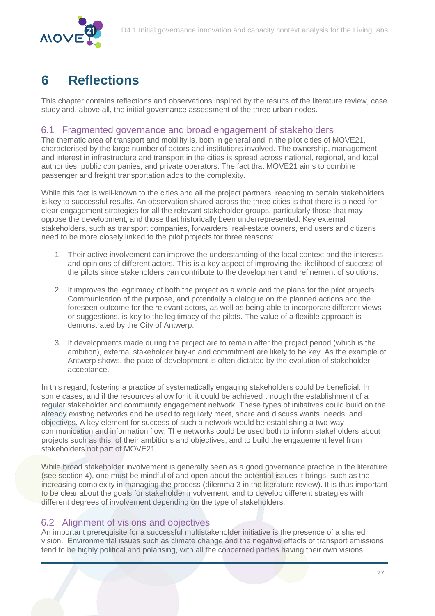

# <span id="page-27-0"></span>**6 Reflections**

This chapter contains reflections and observations inspired by the results of the literature review, case study and, above all, the initial governance assessment of the three urban nodes.

#### <span id="page-27-1"></span>6.1 Fragmented governance and broad engagement of stakeholders

The thematic area of transport and mobility is, both in general and in the pilot cities of MOVE21, characterised by the large number of actors and institutions involved. The ownership, management, and interest in infrastructure and transport in the cities is spread across national, regional, and local authorities, public companies, and private operators. The fact that MOVE21 aims to combine passenger and freight transportation adds to the complexity.

While this fact is well-known to the cities and all the project partners, reaching to certain stakeholders is key to successful results. An observation shared across the three cities is that there is a need for clear engagement strategies for all the relevant stakeholder groups, particularly those that may oppose the development, and those that historically been underrepresented. Key external stakeholders, such as transport companies, forwarders, real-estate owners, end users and citizens need to be more closely linked to the pilot projects for three reasons:

- 1. Their active involvement can improve the understanding of the local context and the interests and opinions of different actors. This is a key aspect of improving the likelihood of success of the pilots since stakeholders can contribute to the development and refinement of solutions.
- 2. It improves the legitimacy of both the project as a whole and the plans for the pilot projects. Communication of the purpose, and potentially a dialogue on the planned actions and the foreseen outcome for the relevant actors, as well as being able to incorporate different views or suggestions, is key to the legitimacy of the pilots. The value of a flexible approach is demonstrated by the City of Antwerp.
- 3. If developments made during the project are to remain after the project period (which is the ambition), external stakeholder buy-in and commitment are likely to be key. As the example of Antwerp shows, the pace of development is often dictated by the evolution of stakeholder acceptance.

In this regard, fostering a practice of systematically engaging stakeholders could be beneficial. In some cases, and if the resources allow for it, it could be achieved through the establishment of a regular stakeholder and community engagement network. These types of initiatives could build on the already existing networks and be used to regularly meet, share and discuss wants, needs, and objectives. A key element for success of such a network would be establishing a two-way communication and information flow. The networks could be used both to inform stakeholders about projects such as this, of their ambitions and objectives, and to build the engagement level from stakeholders not part of MOVE21.

While broad stakeholder involvement is generally seen as a good governance practice in the literature (see section [4\)](#page-11-0), one must be mindful of and open about the potential issues it brings, such as the increasing complexity in managing the process (dilemma 3 in the literature review). It is thus important to be clear about the goals for stakeholder involvement, and to develop different strategies with different degrees of involvement depending on the type of stakeholders.

#### <span id="page-27-2"></span>6.2 Alignment of visions and objectives

An important prerequisite for a successful multistakeholder initiative is the presence of a shared vision. Environmental issues such as climate change and the negative effects of transport emissions tend to be highly political and polarising, with all the concerned parties having their own visions,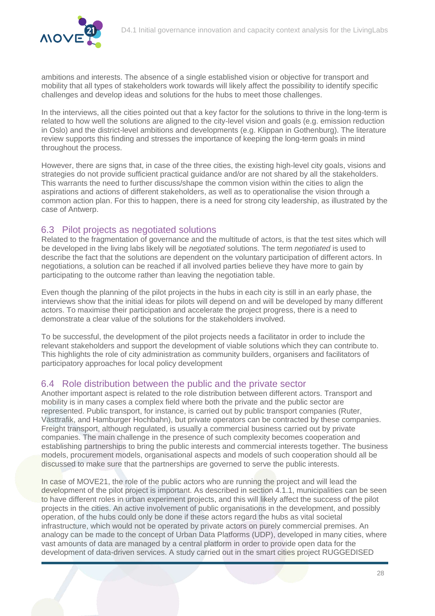

ambitions and interests. The absence of a single established vision or objective for transport and mobility that all types of stakeholders work towards will likely affect the possibility to identify specific challenges and develop ideas and solutions for the hubs to meet those challenges.

In the interviews, all the cities pointed out that a key factor for the solutions to thrive in the long-term is related to how well the solutions are aligned to the city-level vision and goals (e.g. emission reduction in Oslo) and the district-level ambitions and developments (e.g. Klippan in Gothenburg). The literature review supports this finding and stresses the importance of keeping the long-term goals in mind throughout the process.

However, there are signs that, in case of the three cities, the existing high-level city goals, visions and strategies do not provide sufficient practical guidance and/or are not shared by all the stakeholders. This warrants the need to further discuss/shape the common vision within the cities to align the aspirations and actions of different stakeholders, as well as to operationalise the vision through a common action plan. For this to happen, there is a need for strong city leadership, as illustrated by the case of Antwerp.

#### <span id="page-28-0"></span>6.3 Pilot projects as negotiated solutions

Related to the fragmentation of governance and the multitude of actors, is that the test sites which will be developed in the living labs likely will be *negotiated* solutions. The term *negotiated* is used to describe the fact that the solutions are dependent on the voluntary participation of different actors. In negotiations, a solution can be reached if all involved parties believe they have more to gain by participating to the outcome rather than leaving the negotiation table.

Even though the planning of the pilot projects in the hubs in each city is still in an early phase, the interviews show that the initial ideas for pilots will depend on and will be developed by many different actors. To maximise their participation and accelerate the project progress, there is a need to demonstrate a clear value of the solutions for the stakeholders involved.

To be successful, the development of the pilot projects needs a facilitator in order to include the relevant stakeholders and support the development of viable solutions which they can contribute to. This highlights the role of city administration as community builders, organisers and facilitators of participatory approaches for local policy development

#### <span id="page-28-1"></span>6.4 Role distribution between the public and the private sector

Another important aspect is related to the role distribution between different actors. Transport and mobility is in many cases a complex field where both the private and the public sector are represented. Public transport, for instance, is carried out by public transport companies (Ruter, Västtrafik, and Hamburger Hochbahn), but private operators can be contracted by these companies. Freight transport, although regulated, is usually a commercial business carried out by private companies. The main challenge in the presence of such complexity becomes cooperation and establishing partnerships to bring the public interests and commercial interests together. The business models, procurement models, organisational aspects and models of such cooperation should all be discussed to make sure that the partnerships are governed to serve the public interests.

In case of MOVE21, the role of the public actors who are running the project and will lead the development of the pilot project is important. As described in section [4.1.1,](#page-11-2) municipalities can be seen to have different roles in urban experiment projects, and this will likely affect the success of the pilot projects in the cities. An active involvement of public organisations in the development, and possibly operation, of the hubs could only be done if these actors regard the hubs as vital societal infrastructure, which would not be operated by private actors on purely commercial premises. An analogy can be made to the concept of Urban Data Platforms (UDP), developed in many cities, where vast amounts of data are managed by a central platform in order to provide open data for the development of data-driven services. A study carried out in the smart cities project RUGGEDISED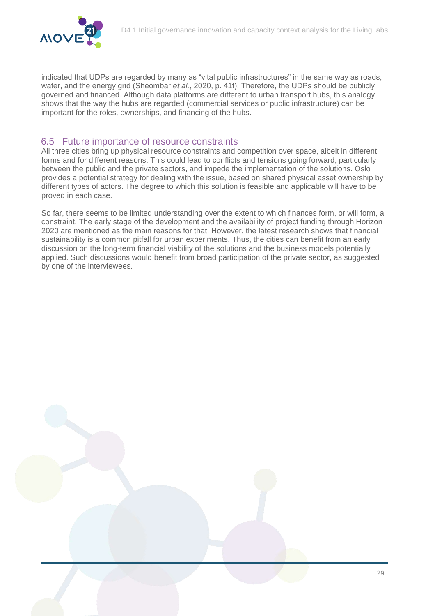

indicated that UDPs are regarded by many as "vital public infrastructures" in the same way as roads, water, and the energy grid (Sheombar *et al.*, 2020, p. 41f). Therefore, the UDPs should be publicly governed and financed. Although data platforms are different to urban transport hubs, this analogy shows that the way the hubs are regarded (commercial services or public infrastructure) can be important for the roles, ownerships, and financing of the hubs.

#### <span id="page-29-0"></span>6.5 Future importance of resource constraints

All three cities bring up physical resource constraints and competition over space, albeit in different forms and for different reasons. This could lead to conflicts and tensions going forward, particularly between the public and the private sectors, and impede the implementation of the solutions. Oslo provides a potential strategy for dealing with the issue, based on shared physical asset ownership by different types of actors. The degree to which this solution is feasible and applicable will have to be proved in each case.

So far, there seems to be limited understanding over the extent to which finances form, or will form, a constraint. The early stage of the development and the availability of project funding through Horizon 2020 are mentioned as the main reasons for that. However, the latest research shows that financial sustainability is a common pitfall for urban experiments. Thus, the cities can benefit from an early discussion on the long-term financial viability of the solutions and the business models potentially applied. Such discussions would benefit from broad participation of the private sector, as suggested by one of the interviewees.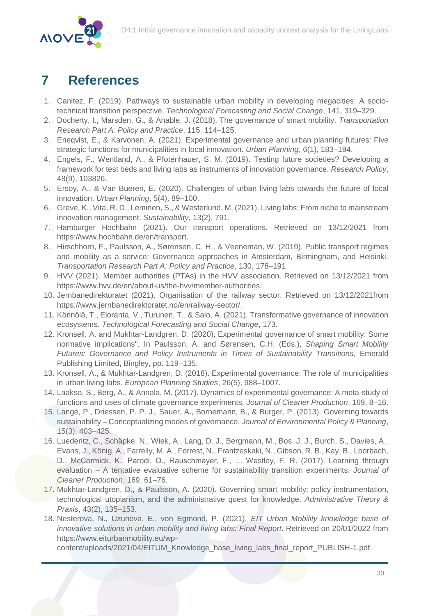

# <span id="page-30-0"></span>**7 References**

- 1. Canitez, F. (2019). Pathways to sustainable urban mobility in developing megacities: A sociotechnical transition perspective. *Technological Forecasting and Social Change*, 141, 319–329.
- 2. Docherty, I., Marsden, G., & Anable, J. (2018). The governance of smart mobility. *Transportation Research Part A: Policy and Practice*, 115, 114–125.
- 3. Eneqvist, E., & Karvonen, A. (2021). Experimental governance and urban planning futures: Five strategic functions for municipalities in local innovation. *Urban Planning*, 6(1), 183–194.
- 4. Engels, F., Wentland, A., & Pfotenhauer, S. M. (2019). Testing future societies? Developing a framework for test beds and living labs as instruments of innovation governance. *Research Policy*, 48(9), 103826.
- 5. Ersoy, A., & Van Bueren, E. (2020). Challenges of urban living labs towards the future of local innovation. *Urban Planning*, 5(4), 89–100.
- 6. Greve, K., Vita, R. D., Leminen, S., & Westerlund, M. (2021). Living labs: From niche to mainstream innovation management. *Sustainability*, 13(2), 791.
- 7. Hamburger Hochbahn (2021). Our transport operations. Retrieved on 13/12/2021 from https://www.hochbahn.de/en/transport.
- 8. Hirschhorn, F., Paulsson, A., Sørensen, C. H., & Veeneman, W. (2019). Public transport regimes and mobility as a service: Governance approaches in Amsterdam, Birmingham, and Helsinki. *Transportation Research Part A: Policy and Practice*, 130, 178–191
- 9. HVV (2021). Member authorities (PTAs) in the HVV association. Retrieved on 13/12/2021 from https://www.hvv.de/en/about-us/the-hvv/member-authorities.
- 10. Jernbanedirektoratet (2021). Organisation of the railway sector. Retrieved on 13/12/2021from https://www.jernbanedirektoratet.no/en/railway-sector/.
- 11. Könnölä, T., Eloranta, V., Turunen, T., & Salo, A. (2021). Transformative governance of innovation ecosystems. *Technological Forecasting and Social Change*, 173.
- 12. Kronsell, A. and Mukhtar-Landgren, D. (2020), Experimental governance of smart mobility: Some normative implications". In Paulsson, A. and Sørensen, C.H. (Eds.), *Shaping Smart Mobility Futures: Governance and Policy Instruments in Times of Sustainability Transitions*, Emerald Publishing Limited, Bingley, pp. 119–135.
- 13. Kronsell, A., & Mukhtar-Landgren, D. (2018). Experimental governance: The role of municipalities in urban living labs. *European Planning Studies*, 26(5), 988–1007.
- 14. Laakso, S., Berg, A., & Annala, M. (2017). Dynamics of experimental governance: A meta-study of functions and uses of climate governance experiments. *Journal of Cleaner Production*, 169, 8–16.
- 15. Lange, P., Driessen, P. P. J., Sauer, A., Bornemann, B., & Burger, P. (2013). Governing towards sustainability – Conceptualizing modes of governance. *Journal of Environmental Policy & Planning*, 15(3), 403–425.
- 16. Luederitz, C., Schäpke, N., Wiek, A., Lang, D. J., Bergmann, M., Bos, J. J., Burch, S., Davies, A., Evans, J., König, A., Farrelly, M. A., Forrest, N., Frantzeskaki, N., Gibson, R. B., Kay, B., Loorbach, D., McCormick, K., Parodi, O., Rauschmayer, F., … Westley, F. R. (2017). Learning through evaluation – A tentative evaluative scheme for sustainability transition experiments. *Journal of Cleaner Production*, 169, 61–76.
- 17. Mukhtar-Landgren, D., & Paulsson, A. (2020). Governing smart mobility: policy instrumentation, technological utopianism, and the administrative quest for knowledge. *Administrative Theory & Praxis*, 43(2), 135–153.
- 18. Nesterova, N., Uzunova, E., von Egmond, P. (2021). *EIT Urban Mobility knowledge base of innovative solutions in urban mobility and living labs: Final Report*. Retrieved on 20/01/2022 from https://www.eiturbanmobility.eu/wp-

content/uploads/2021/04/EITUM\_Knowledge\_base\_living\_labs\_final\_report\_PUBLISH-1.pdf.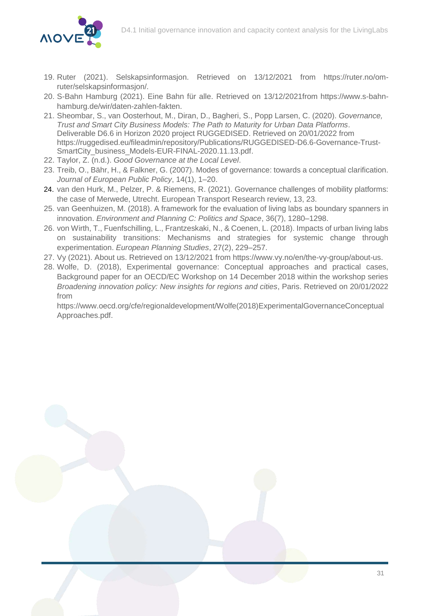

- 19. Ruter (2021). Selskapsinformasjon. Retrieved on 13/12/2021 from https://ruter.no/omruter/selskapsinformasjon/.
- 20. S-Bahn Hamburg (2021). Eine Bahn für alle. Retrieved on 13/12/2021from https://www.s-bahnhamburg.de/wir/daten-zahlen-fakten.
- 21. Sheombar, S., van Oosterhout, M., Diran, D., Bagheri, S., Popp Larsen, C. (2020). *Governance, Trust and Smart City Business Models: The Path to Maturity for Urban Data Platforms*. Deliverable D6.6 in Horizon 2020 project RUGGEDISED. Retrieved on 20/01/2022 from https://ruggedised.eu/fileadmin/repository/Publications/RUGGEDISED-D6.6-Governance-Trust-SmartCity\_business\_Models-EUR-FINAL-2020.11.13.pdf.
- 22. Taylor, Z. (n.d.). *Good Governance at the Local Level*.
- 23. Treib, O., Bähr, H., & Falkner, G. (2007). Modes of governance: towards a conceptual clarification. *Journal of European Public Policy*, 14(1), 1–20.
- 24. van den Hurk, M., Pelzer, P. & Riemens, R. (2021). Governance challenges of mobility platforms: the case of Merwede, Utrecht. European Transport Research review, 13, 23.
- 25. van Geenhuizen, M. (2018). A framework for the evaluation of living labs as boundary spanners in innovation. *Environment and Planning C: Politics and Space*, 36(7), 1280–1298.
- 26. von Wirth, T., Fuenfschilling, L., Frantzeskaki, N., & Coenen, L. (2018). Impacts of urban living labs on sustainability transitions: Mechanisms and strategies for systemic change through experimentation. *European Planning Studies*, 27(2), 229–257.
- 27. Vy (2021). About us. Retrieved on 13/12/2021 from https://www.vy.no/en/the-vy-group/about-us.
- 28. Wolfe, D. (2018), Experimental governance: Conceptual approaches and practical cases, Background paper for an OECD/EC Workshop on 14 December 2018 within the workshop series *Broadening innovation policy: New insights for regions and cities*, Paris. Retrieved on 20/01/2022 from

https://www.oecd.org/cfe/regionaldevelopment/Wolfe(2018)ExperimentalGovernanceConceptual Approaches.pdf.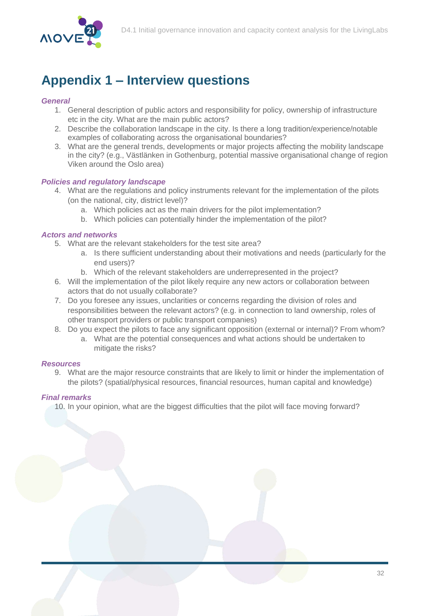

# <span id="page-32-0"></span>**Appendix 1 – Interview questions**

#### *General*

- 1. General description of public actors and responsibility for policy, ownership of infrastructure etc in the city. What are the main public actors?
- 2. Describe the collaboration landscape in the city. Is there a long tradition/experience/notable examples of collaborating across the organisational boundaries?
- 3. What are the general trends, developments or major projects affecting the mobility landscape in the city? (e.g., Västlänken in Gothenburg, potential massive organisational change of region Viken around the Oslo area)

#### *Policies and regulatory landscape*

- 4. What are the regulations and policy instruments relevant for the implementation of the pilots (on the national, city, district level)?
	- a. Which policies act as the main drivers for the pilot implementation?
	- b. Which policies can potentially hinder the implementation of the pilot?

#### *Actors and networks*

- 5. What are the relevant stakeholders for the test site area?
	- a. Is there sufficient understanding about their motivations and needs (particularly for the end users)?
	- b. Which of the relevant stakeholders are underrepresented in the project?
- 6. Will the implementation of the pilot likely require any new actors or collaboration between actors that do not usually collaborate?
- 7. Do you foresee any issues, unclarities or concerns regarding the division of roles and responsibilities between the relevant actors? (e.g. in connection to land ownership, roles of other transport providers or public transport companies)
- 8. Do you expect the pilots to face any significant opposition (external or internal)? From whom?
	- a. What are the potential consequences and what actions should be undertaken to mitigate the risks?

#### *Resources*

9. What are the major resource constraints that are likely to limit or hinder the implementation of the pilots? (spatial/physical resources, financial resources, human capital and knowledge)

#### *Final remarks*

10. In your opinion, what are the biggest difficulties that the pilot will face moving forward?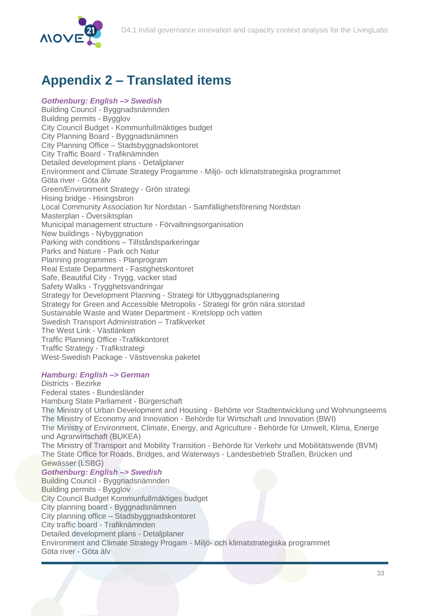

# <span id="page-33-0"></span>**Appendix 2 – Translated items**

*Gothenburg: English –> Swedish*  Building Council - Byggnadsnämnden Building permits - Bygglov City Council Budget - Kommunfullmäktiges budget City Planning Board - Byggnadsnämnen City Planning Office – Stadsbyggnadskontoret City Traffic Board - Trafiknämnden Detailed development plans - Detaljplaner Environment and Climate Strategy Progamme - Miljö- och klimatstrategiska programmet Göta river - Göta älv Green/Environment Strategy - Grön strategi Hising bridge - Hisingsbron Local Community Association for Nordstan - Samfällighetsförening Nordstan Masterplan - Översiktsplan Municipal management structure - Förvaltningsorganisation New buildings - Nybyggnation Parking with conditions – Tillståndsparkeringar Parks and Nature - Park och Natur Planning programmes - Planprogram Real Estate Department - Fastighetskontoret Safe, Beautiful City - Trygg, vacker stad Safety Walks - Trygghetsvandringar Strategy for Development Planning - Strategi för Utbyggnadsplanering Strategy for Green and Accessible Metropolis - Strategi för grön nära storstad Sustainable Waste and Water Department - Kretslopp och vatten Swedish Transport Administration – Trafikverket The West Link - Västlänken Traffic Planning Office -Trafikkontoret Traffic Strategy - Trafikstrategi West-Swedish Package - Västsvenska paketet

#### *Hamburg: English –> German*

Districts - Bezirke Federal states - Bundesländer Hamburg State Parliament - Bürgerschaft The Ministry of Urban Development and Housing - Behörte vor Stadtentwicklung und Wohnungseems The Ministry of Economy and Innovation - Behörde für Wirtschaft und Innovation (BWI) The Ministry of Environment, Climate, Energy, and Agriculture - Behörde für Umwelt, Klima, Energe und Agrarwirtschaft (BUKEA) The Ministry of Transport and Mobility Transition - Behörde für Verkehr und Mobilitätswende (BVM) The State Office for Roads, Bridges, and Waterways - Landesbetrieb Straßen, Brücken und Gewässer (LSBG) *Gothenburg: English –> Swedish*  Building Council - Byggnadsnämnden Building permits - Bygglov City Council Budget Kommunfullmäktiges budget City planning board - Byggnadsnämnen City planning office – Stadsbyggnadskontoret City traffic board - Trafiknämnden Detailed development plans - Detaljplaner

Environment and Climate Strategy Progam - Miljö- och klimatstrategiska programmet Göta river - Göta älv